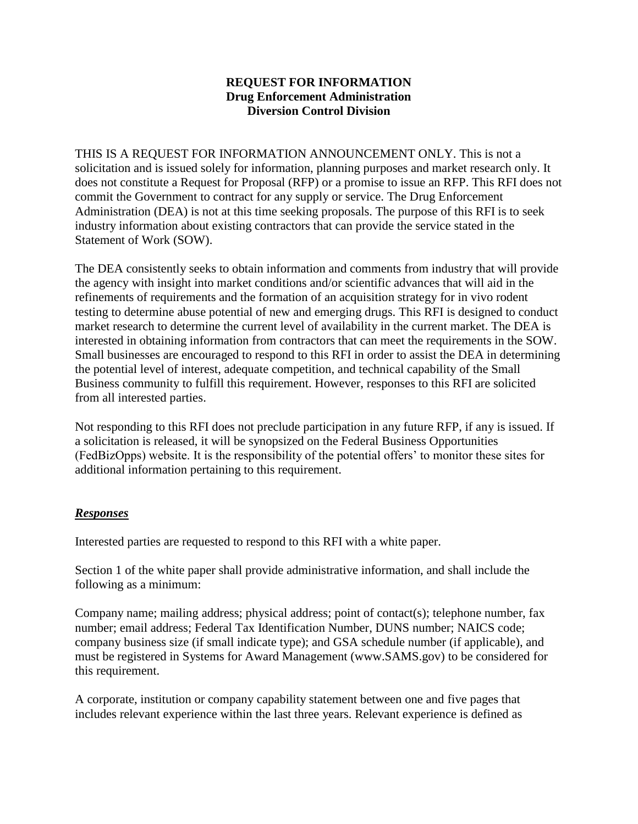## **REQUEST FOR INFORMATION Drug Enforcement Administration Diversion Control Division**

THIS IS A REQUEST FOR INFORMATION ANNOUNCEMENT ONLY. This is not a solicitation and is issued solely for information, planning purposes and market research only. It does not constitute a Request for Proposal (RFP) or a promise to issue an RFP. This RFI does not commit the Government to contract for any supply or service. The Drug Enforcement Administration (DEA) is not at this time seeking proposals. The purpose of this RFI is to seek industry information about existing contractors that can provide the service stated in the Statement of Work (SOW).

The DEA consistently seeks to obtain information and comments from industry that will provide the agency with insight into market conditions and/or scientific advances that will aid in the refinements of requirements and the formation of an acquisition strategy for in vivo rodent testing to determine abuse potential of new and emerging drugs. This RFI is designed to conduct market research to determine the current level of availability in the current market. The DEA is interested in obtaining information from contractors that can meet the requirements in the SOW. Small businesses are encouraged to respond to this RFI in order to assist the DEA in determining the potential level of interest, adequate competition, and technical capability of the Small Business community to fulfill this requirement. However, responses to this RFI are solicited from all interested parties.

Not responding to this RFI does not preclude participation in any future RFP, if any is issued. If a solicitation is released, it will be synopsized on the Federal Business Opportunities (FedBizOpps) website. It is the responsibility of the potential offers' to monitor these sites for additional information pertaining to this requirement.

## *Responses*

Interested parties are requested to respond to this RFI with a white paper.

Section 1 of the white paper shall provide administrative information, and shall include the following as a minimum:

Company name; mailing address; physical address; point of contact(s); telephone number, fax number; email address; Federal Tax Identification Number, DUNS number; NAICS code; company business size (if small indicate type); and GSA schedule number (if applicable), and must be registered in Systems for Award Management (www.SAMS.gov) to be considered for this requirement.

A corporate, institution or company capability statement between one and five pages that includes relevant experience within the last three years. Relevant experience is defined as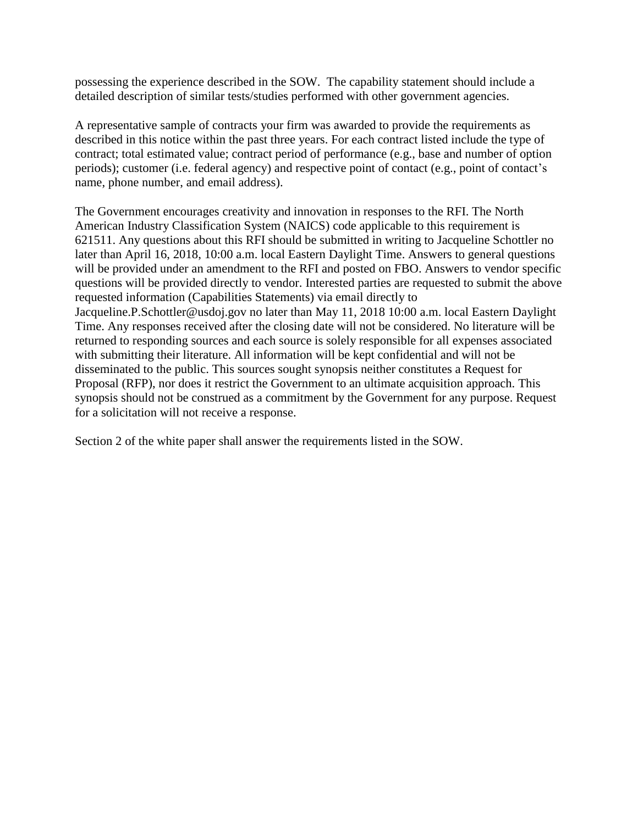possessing the experience described in the SOW. The capability statement should include a detailed description of similar tests/studies performed with other government agencies.

A representative sample of contracts your firm was awarded to provide the requirements as described in this notice within the past three years. For each contract listed include the type of contract; total estimated value; contract period of performance (e.g., base and number of option periods); customer (i.e. federal agency) and respective point of contact (e.g., point of contact's name, phone number, and email address).

The Government encourages creativity and innovation in responses to the RFI. The North American Industry Classification System (NAICS) code applicable to this requirement is 621511. Any questions about this RFI should be submitted in writing to Jacqueline Schottler no later than April 16, 2018, 10:00 a.m. local Eastern Daylight Time. Answers to general questions will be provided under an amendment to the RFI and posted on FBO. Answers to vendor specific questions will be provided directly to vendor. Interested parties are requested to submit the above requested information (Capabilities Statements) via email directly to Jacqueline.P.Schottler@usdoj.gov no later than May 11, 2018 10:00 a.m. local Eastern Daylight Time. Any responses received after the closing date will not be considered. No literature will be returned to responding sources and each source is solely responsible for all expenses associated with submitting their literature. All information will be kept confidential and will not be disseminated to the public. This sources sought synopsis neither constitutes a Request for Proposal (RFP), nor does it restrict the Government to an ultimate acquisition approach. This synopsis should not be construed as a commitment by the Government for any purpose. Request for a solicitation will not receive a response.

Section 2 of the white paper shall answer the requirements listed in the SOW.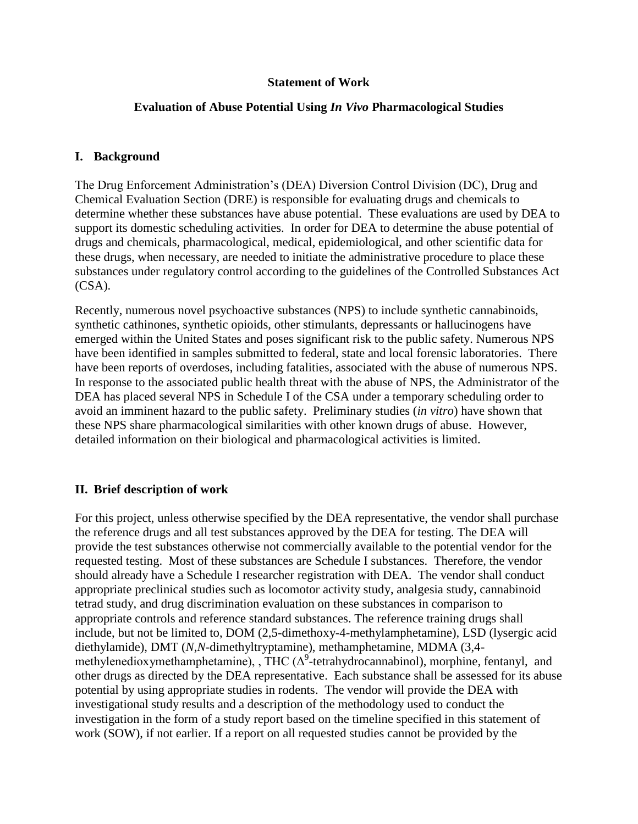#### **Statement of Work**

#### **Evaluation of Abuse Potential Using** *In Vivo* **Pharmacological Studies**

#### **I. Background**

The Drug Enforcement Administration's (DEA) Diversion Control Division (DC), Drug and Chemical Evaluation Section (DRE) is responsible for evaluating drugs and chemicals to determine whether these substances have abuse potential. These evaluations are used by DEA to support its domestic scheduling activities. In order for DEA to determine the abuse potential of drugs and chemicals, pharmacological, medical, epidemiological, and other scientific data for these drugs, when necessary, are needed to initiate the administrative procedure to place these substances under regulatory control according to the guidelines of the Controlled Substances Act (CSA).

Recently, numerous novel psychoactive substances (NPS) to include synthetic cannabinoids, synthetic cathinones, synthetic opioids, other stimulants, depressants or hallucinogens have emerged within the United States and poses significant risk to the public safety. Numerous NPS have been identified in samples submitted to federal, state and local forensic laboratories. There have been reports of overdoses, including fatalities, associated with the abuse of numerous NPS. In response to the associated public health threat with the abuse of NPS, the Administrator of the DEA has placed several NPS in Schedule I of the CSA under a temporary scheduling order to avoid an imminent hazard to the public safety. Preliminary studies (*in vitro*) have shown that these NPS share pharmacological similarities with other known drugs of abuse. However, detailed information on their biological and pharmacological activities is limited.

## **II. Brief description of work**

For this project, unless otherwise specified by the DEA representative, the vendor shall purchase the reference drugs and all test substances approved by the DEA for testing. The DEA will provide the test substances otherwise not commercially available to the potential vendor for the requested testing. Most of these substances are Schedule I substances. Therefore, the vendor should already have a Schedule I researcher registration with DEA. The vendor shall conduct appropriate preclinical studies such as locomotor activity study, analgesia study, cannabinoid tetrad study, and drug discrimination evaluation on these substances in comparison to appropriate controls and reference standard substances. The reference training drugs shall include, but not be limited to, DOM (2,5-dimethoxy-4-methylamphetamine), LSD (lysergic acid diethylamide), DMT (*N*,*N*-dimethyltryptamine), methamphetamine, MDMA (3,4 methylenedioxymethamphetamine), , THC  $(\Delta^9$ -tetrahydrocannabinol), morphine, fentanyl, and other drugs as directed by the DEA representative. Each substance shall be assessed for its abuse potential by using appropriate studies in rodents. The vendor will provide the DEA with investigational study results and a description of the methodology used to conduct the investigation in the form of a study report based on the timeline specified in this statement of work (SOW), if not earlier. If a report on all requested studies cannot be provided by the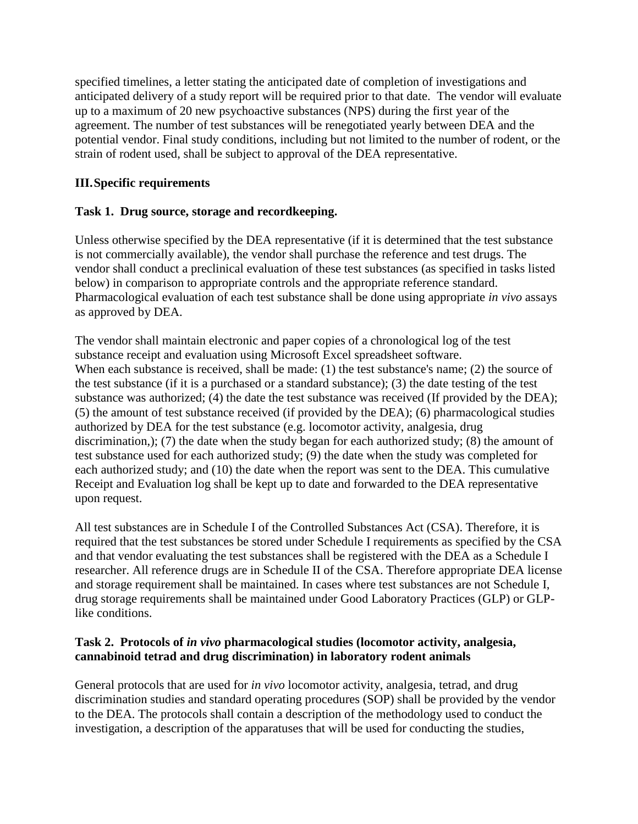specified timelines, a letter stating the anticipated date of completion of investigations and anticipated delivery of a study report will be required prior to that date. The vendor will evaluate up to a maximum of 20 new psychoactive substances (NPS) during the first year of the agreement. The number of test substances will be renegotiated yearly between DEA and the potential vendor. Final study conditions, including but not limited to the number of rodent, or the strain of rodent used, shall be subject to approval of the DEA representative.

## **III.Specific requirements**

## **Task 1. Drug source, storage and recordkeeping.**

Unless otherwise specified by the DEA representative (if it is determined that the test substance is not commercially available), the vendor shall purchase the reference and test drugs. The vendor shall conduct a preclinical evaluation of these test substances (as specified in tasks listed below) in comparison to appropriate controls and the appropriate reference standard. Pharmacological evaluation of each test substance shall be done using appropriate *in vivo* assays as approved by DEA.

The vendor shall maintain electronic and paper copies of a chronological log of the test substance receipt and evaluation using Microsoft Excel spreadsheet software. When each substance is received, shall be made: (1) the test substance's name; (2) the source of the test substance (if it is a purchased or a standard substance); (3) the date testing of the test substance was authorized; (4) the date the test substance was received (If provided by the DEA); (5) the amount of test substance received (if provided by the DEA); (6) pharmacological studies authorized by DEA for the test substance (e.g. locomotor activity, analgesia, drug discrimination,); (7) the date when the study began for each authorized study; (8) the amount of test substance used for each authorized study; (9) the date when the study was completed for each authorized study; and (10) the date when the report was sent to the DEA. This cumulative Receipt and Evaluation log shall be kept up to date and forwarded to the DEA representative upon request.

All test substances are in Schedule I of the Controlled Substances Act (CSA). Therefore, it is required that the test substances be stored under Schedule I requirements as specified by the CSA and that vendor evaluating the test substances shall be registered with the DEA as a Schedule I researcher. All reference drugs are in Schedule II of the CSA. Therefore appropriate DEA license and storage requirement shall be maintained. In cases where test substances are not Schedule I, drug storage requirements shall be maintained under Good Laboratory Practices (GLP) or GLPlike conditions.

## **Task 2. Protocols of** *in vivo* **pharmacological studies (locomotor activity, analgesia, cannabinoid tetrad and drug discrimination) in laboratory rodent animals**

General protocols that are used for *in vivo* locomotor activity, analgesia, tetrad, and drug discrimination studies and standard operating procedures (SOP) shall be provided by the vendor to the DEA. The protocols shall contain a description of the methodology used to conduct the investigation, a description of the apparatuses that will be used for conducting the studies,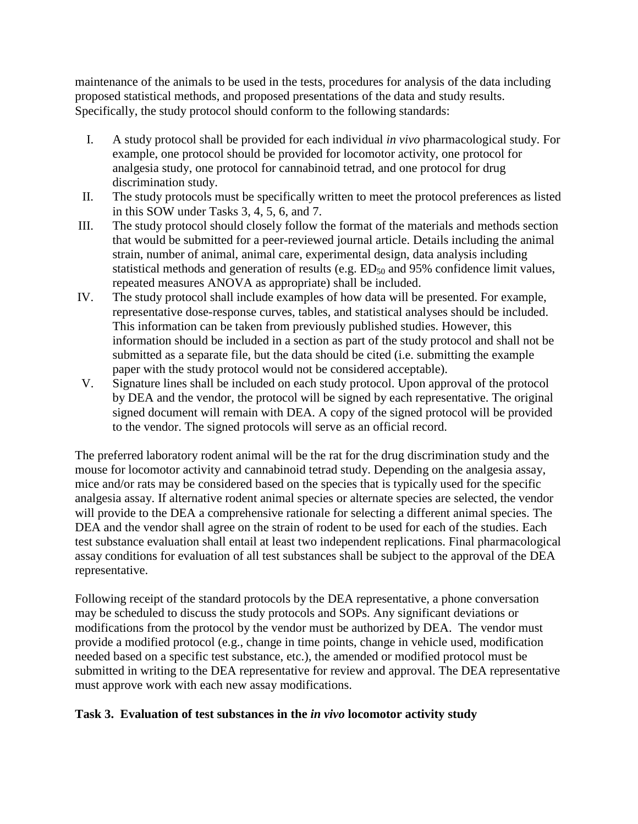maintenance of the animals to be used in the tests, procedures for analysis of the data including proposed statistical methods, and proposed presentations of the data and study results. Specifically, the study protocol should conform to the following standards:

- I. A study protocol shall be provided for each individual *in vivo* pharmacological study. For example, one protocol should be provided for locomotor activity, one protocol for analgesia study, one protocol for cannabinoid tetrad, and one protocol for drug discrimination study.
- II. The study protocols must be specifically written to meet the protocol preferences as listed in this SOW under Tasks 3, 4, 5, 6, and 7.
- III. The study protocol should closely follow the format of the materials and methods section that would be submitted for a peer-reviewed journal article. Details including the animal strain, number of animal, animal care, experimental design, data analysis including statistical methods and generation of results (e.g.  $ED_{50}$  and 95% confidence limit values, repeated measures ANOVA as appropriate) shall be included.
- IV. The study protocol shall include examples of how data will be presented. For example, representative dose-response curves, tables, and statistical analyses should be included. This information can be taken from previously published studies. However, this information should be included in a section as part of the study protocol and shall not be submitted as a separate file, but the data should be cited (i.e. submitting the example paper with the study protocol would not be considered acceptable).
- V. Signature lines shall be included on each study protocol. Upon approval of the protocol by DEA and the vendor, the protocol will be signed by each representative. The original signed document will remain with DEA. A copy of the signed protocol will be provided to the vendor. The signed protocols will serve as an official record.

The preferred laboratory rodent animal will be the rat for the drug discrimination study and the mouse for locomotor activity and cannabinoid tetrad study. Depending on the analgesia assay, mice and/or rats may be considered based on the species that is typically used for the specific analgesia assay. If alternative rodent animal species or alternate species are selected, the vendor will provide to the DEA a comprehensive rationale for selecting a different animal species. The DEA and the vendor shall agree on the strain of rodent to be used for each of the studies. Each test substance evaluation shall entail at least two independent replications. Final pharmacological assay conditions for evaluation of all test substances shall be subject to the approval of the DEA representative.

Following receipt of the standard protocols by the DEA representative, a phone conversation may be scheduled to discuss the study protocols and SOPs. Any significant deviations or modifications from the protocol by the vendor must be authorized by DEA. The vendor must provide a modified protocol (e.g., change in time points, change in vehicle used, modification needed based on a specific test substance, etc.), the amended or modified protocol must be submitted in writing to the DEA representative for review and approval. The DEA representative must approve work with each new assay modifications.

## **Task 3. Evaluation of test substances in the** *in vivo* **locomotor activity study**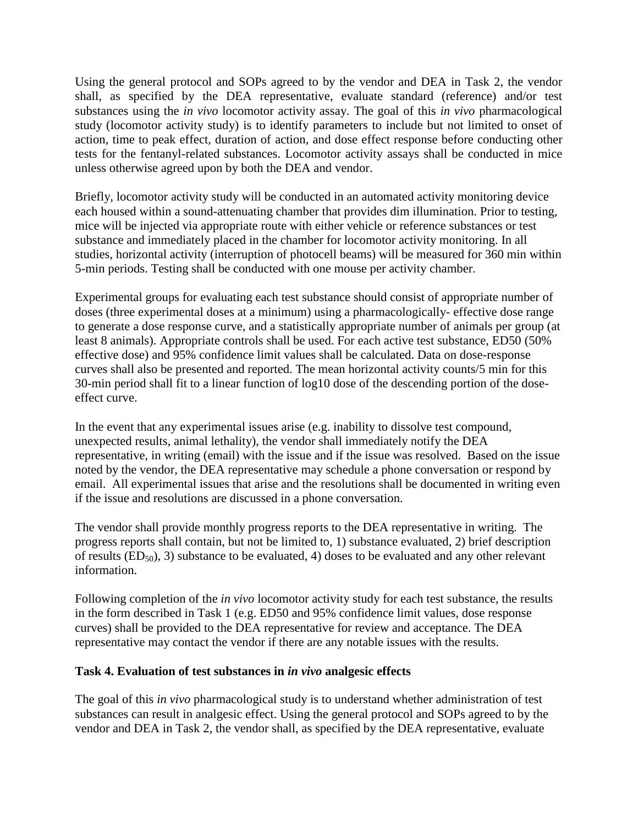Using the general protocol and SOPs agreed to by the vendor and DEA in Task 2, the vendor shall, as specified by the DEA representative, evaluate standard (reference) and/or test substances using the *in vivo* locomotor activity assay. The goal of this *in vivo* pharmacological study (locomotor activity study) is to identify parameters to include but not limited to onset of action, time to peak effect, duration of action, and dose effect response before conducting other tests for the fentanyl-related substances. Locomotor activity assays shall be conducted in mice unless otherwise agreed upon by both the DEA and vendor.

Briefly, locomotor activity study will be conducted in an automated activity monitoring device each housed within a sound-attenuating chamber that provides dim illumination. Prior to testing, mice will be injected via appropriate route with either vehicle or reference substances or test substance and immediately placed in the chamber for locomotor activity monitoring. In all studies, horizontal activity (interruption of photocell beams) will be measured for 360 min within 5-min periods. Testing shall be conducted with one mouse per activity chamber.

Experimental groups for evaluating each test substance should consist of appropriate number of doses (three experimental doses at a minimum) using a pharmacologically- effective dose range to generate a dose response curve, and a statistically appropriate number of animals per group (at least 8 animals). Appropriate controls shall be used. For each active test substance, ED50 (50% effective dose) and 95% confidence limit values shall be calculated. Data on dose-response curves shall also be presented and reported. The mean horizontal activity counts/5 min for this 30-min period shall fit to a linear function of log10 dose of the descending portion of the doseeffect curve.

In the event that any experimental issues arise (e.g. inability to dissolve test compound, unexpected results, animal lethality), the vendor shall immediately notify the DEA representative, in writing (email) with the issue and if the issue was resolved. Based on the issue noted by the vendor, the DEA representative may schedule a phone conversation or respond by email. All experimental issues that arise and the resolutions shall be documented in writing even if the issue and resolutions are discussed in a phone conversation.

The vendor shall provide monthly progress reports to the DEA representative in writing. The progress reports shall contain, but not be limited to, 1) substance evaluated, 2) brief description of results  $(ED_{50})$ , 3) substance to be evaluated, 4) doses to be evaluated and any other relevant information.

Following completion of the *in vivo* locomotor activity study for each test substance, the results in the form described in Task 1 (e.g. ED50 and 95% confidence limit values, dose response curves) shall be provided to the DEA representative for review and acceptance. The DEA representative may contact the vendor if there are any notable issues with the results.

## **Task 4. Evaluation of test substances in** *in vivo* **analgesic effects**

The goal of this *in vivo* pharmacological study is to understand whether administration of test substances can result in analgesic effect. Using the general protocol and SOPs agreed to by the vendor and DEA in Task 2, the vendor shall, as specified by the DEA representative, evaluate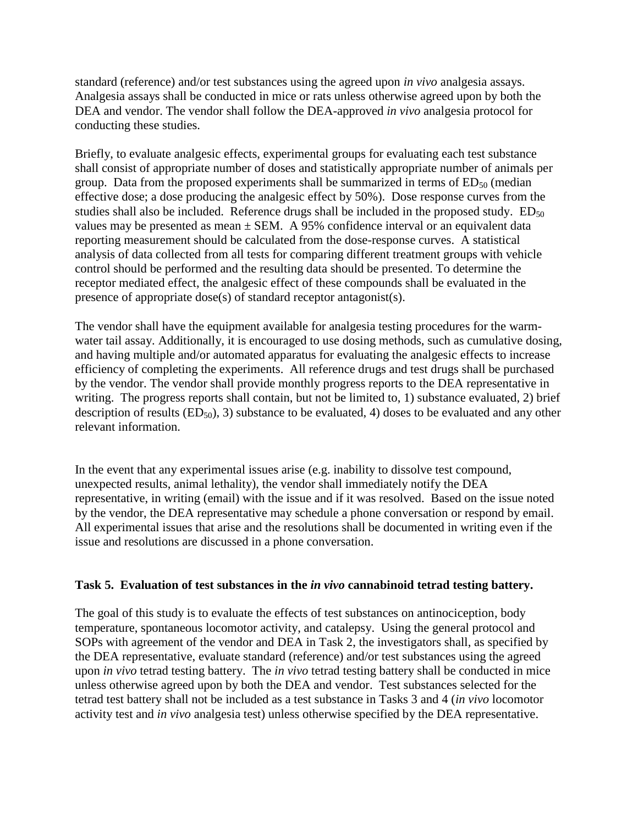standard (reference) and/or test substances using the agreed upon *in vivo* analgesia assays. Analgesia assays shall be conducted in mice or rats unless otherwise agreed upon by both the DEA and vendor. The vendor shall follow the DEA-approved *in vivo* analgesia protocol for conducting these studies.

Briefly, to evaluate analgesic effects, experimental groups for evaluating each test substance shall consist of appropriate number of doses and statistically appropriate number of animals per group. Data from the proposed experiments shall be summarized in terms of  $ED_{50}$  (median effective dose; a dose producing the analgesic effect by 50%). Dose response curves from the studies shall also be included. Reference drugs shall be included in the proposed study.  $ED_{50}$ values may be presented as mean  $\pm$  SEM. A 95% confidence interval or an equivalent data reporting measurement should be calculated from the dose-response curves. A statistical analysis of data collected from all tests for comparing different treatment groups with vehicle control should be performed and the resulting data should be presented. To determine the receptor mediated effect, the analgesic effect of these compounds shall be evaluated in the presence of appropriate dose(s) of standard receptor antagonist(s).

The vendor shall have the equipment available for analgesia testing procedures for the warmwater tail assay. Additionally, it is encouraged to use dosing methods, such as cumulative dosing, and having multiple and/or automated apparatus for evaluating the analgesic effects to increase efficiency of completing the experiments. All reference drugs and test drugs shall be purchased by the vendor. The vendor shall provide monthly progress reports to the DEA representative in writing. The progress reports shall contain, but not be limited to, 1) substance evaluated, 2) brief description of results  $(ED_{50})$ , 3) substance to be evaluated, 4) doses to be evaluated and any other relevant information.

In the event that any experimental issues arise (e.g. inability to dissolve test compound, unexpected results, animal lethality), the vendor shall immediately notify the DEA representative, in writing (email) with the issue and if it was resolved. Based on the issue noted by the vendor, the DEA representative may schedule a phone conversation or respond by email. All experimental issues that arise and the resolutions shall be documented in writing even if the issue and resolutions are discussed in a phone conversation.

#### **Task 5. Evaluation of test substances in the** *in vivo* **cannabinoid tetrad testing battery.**

The goal of this study is to evaluate the effects of test substances on antinociception, body temperature, spontaneous locomotor activity, and catalepsy. Using the general protocol and SOPs with agreement of the vendor and DEA in Task 2, the investigators shall, as specified by the DEA representative, evaluate standard (reference) and/or test substances using the agreed upon *in vivo* tetrad testing battery. The *in vivo* tetrad testing battery shall be conducted in mice unless otherwise agreed upon by both the DEA and vendor. Test substances selected for the tetrad test battery shall not be included as a test substance in Tasks 3 and 4 (*in vivo* locomotor activity test and *in vivo* analgesia test) unless otherwise specified by the DEA representative.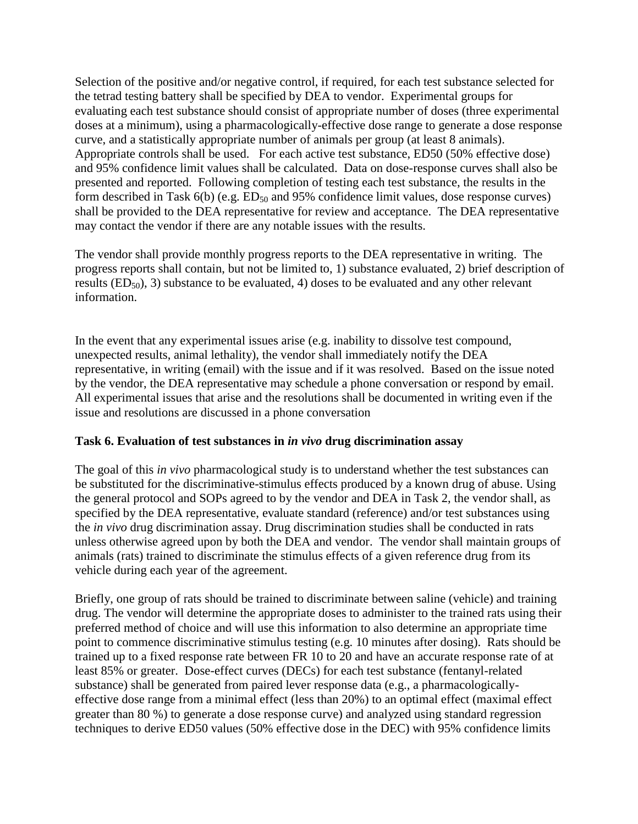Selection of the positive and/or negative control, if required, for each test substance selected for the tetrad testing battery shall be specified by DEA to vendor. Experimental groups for evaluating each test substance should consist of appropriate number of doses (three experimental doses at a minimum), using a pharmacologically-effective dose range to generate a dose response curve, and a statistically appropriate number of animals per group (at least 8 animals). Appropriate controls shall be used. For each active test substance, ED50 (50% effective dose) and 95% confidence limit values shall be calculated. Data on dose-response curves shall also be presented and reported. Following completion of testing each test substance, the results in the form described in Task  $6(b)$  (e.g.  $ED_{50}$  and 95% confidence limit values, dose response curves) shall be provided to the DEA representative for review and acceptance. The DEA representative may contact the vendor if there are any notable issues with the results.

The vendor shall provide monthly progress reports to the DEA representative in writing. The progress reports shall contain, but not be limited to, 1) substance evaluated, 2) brief description of results ( $ED_{50}$ ), 3) substance to be evaluated, 4) doses to be evaluated and any other relevant information.

In the event that any experimental issues arise (e.g. inability to dissolve test compound, unexpected results, animal lethality), the vendor shall immediately notify the DEA representative, in writing (email) with the issue and if it was resolved. Based on the issue noted by the vendor, the DEA representative may schedule a phone conversation or respond by email. All experimental issues that arise and the resolutions shall be documented in writing even if the issue and resolutions are discussed in a phone conversation

#### **Task 6. Evaluation of test substances in** *in vivo* **drug discrimination assay**

The goal of this *in vivo* pharmacological study is to understand whether the test substances can be substituted for the discriminative-stimulus effects produced by a known drug of abuse. Using the general protocol and SOPs agreed to by the vendor and DEA in Task 2, the vendor shall, as specified by the DEA representative, evaluate standard (reference) and/or test substances using the *in vivo* drug discrimination assay. Drug discrimination studies shall be conducted in rats unless otherwise agreed upon by both the DEA and vendor. The vendor shall maintain groups of animals (rats) trained to discriminate the stimulus effects of a given reference drug from its vehicle during each year of the agreement.

Briefly, one group of rats should be trained to discriminate between saline (vehicle) and training drug. The vendor will determine the appropriate doses to administer to the trained rats using their preferred method of choice and will use this information to also determine an appropriate time point to commence discriminative stimulus testing (e.g. 10 minutes after dosing). Rats should be trained up to a fixed response rate between FR 10 to 20 and have an accurate response rate of at least 85% or greater. Dose-effect curves (DECs) for each test substance (fentanyl-related substance) shall be generated from paired lever response data (e.g., a pharmacologicallyeffective dose range from a minimal effect (less than 20%) to an optimal effect (maximal effect greater than 80 %) to generate a dose response curve) and analyzed using standard regression techniques to derive ED50 values (50% effective dose in the DEC) with 95% confidence limits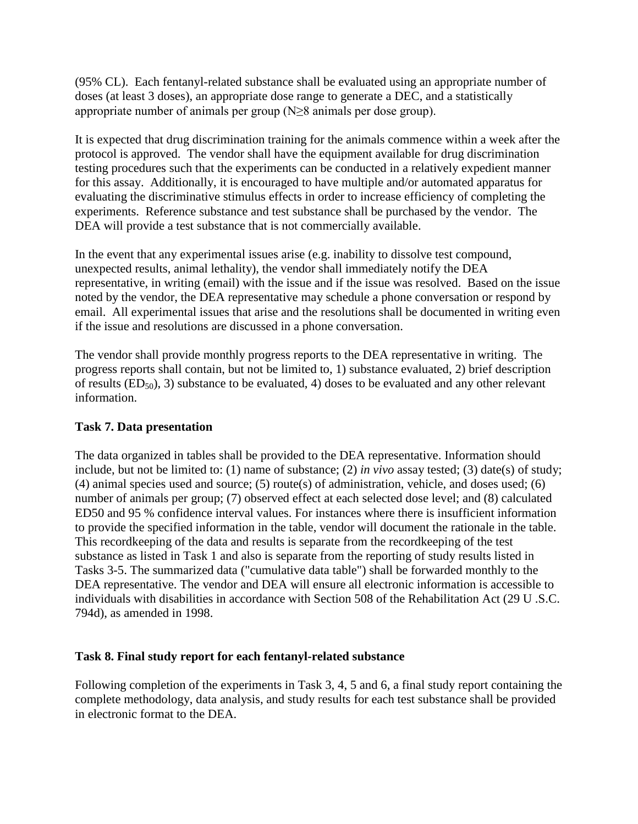(95% CL). Each fentanyl-related substance shall be evaluated using an appropriate number of doses (at least 3 doses), an appropriate dose range to generate a DEC, and a statistically appropriate number of animals per group (N≥8 animals per dose group).

It is expected that drug discrimination training for the animals commence within a week after the protocol is approved. The vendor shall have the equipment available for drug discrimination testing procedures such that the experiments can be conducted in a relatively expedient manner for this assay. Additionally, it is encouraged to have multiple and/or automated apparatus for evaluating the discriminative stimulus effects in order to increase efficiency of completing the experiments. Reference substance and test substance shall be purchased by the vendor. The DEA will provide a test substance that is not commercially available.

In the event that any experimental issues arise (e.g. inability to dissolve test compound, unexpected results, animal lethality), the vendor shall immediately notify the DEA representative, in writing (email) with the issue and if the issue was resolved. Based on the issue noted by the vendor, the DEA representative may schedule a phone conversation or respond by email. All experimental issues that arise and the resolutions shall be documented in writing even if the issue and resolutions are discussed in a phone conversation.

The vendor shall provide monthly progress reports to the DEA representative in writing. The progress reports shall contain, but not be limited to, 1) substance evaluated, 2) brief description of results  $(ED_{50})$ , 3) substance to be evaluated, 4) doses to be evaluated and any other relevant information.

## **Task 7. Data presentation**

The data organized in tables shall be provided to the DEA representative. Information should include, but not be limited to: (1) name of substance; (2) *in vivo* assay tested; (3) date(s) of study; (4) animal species used and source; (5) route(s) of administration, vehicle, and doses used; (6) number of animals per group; (7) observed effect at each selected dose level; and (8) calculated ED50 and 95 % confidence interval values. For instances where there is insufficient information to provide the specified information in the table, vendor will document the rationale in the table. This recordkeeping of the data and results is separate from the recordkeeping of the test substance as listed in Task 1 and also is separate from the reporting of study results listed in Tasks 3-5. The summarized data ("cumulative data table") shall be forwarded monthly to the DEA representative. The vendor and DEA will ensure all electronic information is accessible to individuals with disabilities in accordance with Section 508 of the Rehabilitation Act (29 U .S.C. 794d), as amended in 1998.

## **Task 8. Final study report for each fentanyl-related substance**

Following completion of the experiments in Task 3, 4, 5 and 6, a final study report containing the complete methodology, data analysis, and study results for each test substance shall be provided in electronic format to the DEA.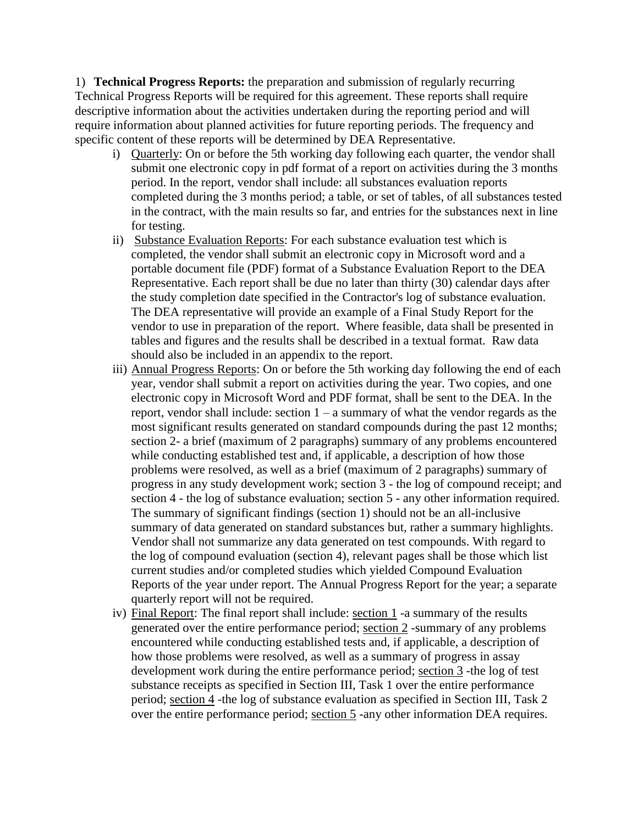1) **Technical Progress Reports:** the preparation and submission of regularly recurring Technical Progress Reports will be required for this agreement. These reports shall require descriptive information about the activities undertaken during the reporting period and will require information about planned activities for future reporting periods. The frequency and specific content of these reports will be determined by DEA Representative.

- i) Quarterly: On or before the 5th working day following each quarter, the vendor shall submit one electronic copy in pdf format of a report on activities during the 3 months period. In the report, vendor shall include: all substances evaluation reports completed during the 3 months period; a table, or set of tables, of all substances tested in the contract, with the main results so far, and entries for the substances next in line for testing.
- ii) Substance Evaluation Reports: For each substance evaluation test which is completed, the vendor shall submit an electronic copy in Microsoft word and a portable document file (PDF) format of a Substance Evaluation Report to the DEA Representative. Each report shall be due no later than thirty (30) calendar days after the study completion date specified in the Contractor's log of substance evaluation. The DEA representative will provide an example of a Final Study Report for the vendor to use in preparation of the report. Where feasible, data shall be presented in tables and figures and the results shall be described in a textual format. Raw data should also be included in an appendix to the report.
- iii) Annual Progress Reports: On or before the 5th working day following the end of each year, vendor shall submit a report on activities during the year. Two copies, and one electronic copy in Microsoft Word and PDF format, shall be sent to the DEA. In the report, vendor shall include: section 1 – a summary of what the vendor regards as the most significant results generated on standard compounds during the past 12 months; section 2- a brief (maximum of 2 paragraphs) summary of any problems encountered while conducting established test and, if applicable, a description of how those problems were resolved, as well as a brief (maximum of 2 paragraphs) summary of progress in any study development work; section 3 - the log of compound receipt; and section 4 - the log of substance evaluation; section 5 - any other information required. The summary of significant findings (section 1) should not be an all-inclusive summary of data generated on standard substances but, rather a summary highlights. Vendor shall not summarize any data generated on test compounds. With regard to the log of compound evaluation (section 4), relevant pages shall be those which list current studies and/or completed studies which yielded Compound Evaluation Reports of the year under report. The Annual Progress Report for the year; a separate quarterly report will not be required.
- iv) Final Report: The final report shall include: section 1 -a summary of the results generated over the entire performance period; section 2 -summary of any problems encountered while conducting established tests and, if applicable, a description of how those problems were resolved, as well as a summary of progress in assay development work during the entire performance period; section 3 -the log of test substance receipts as specified in Section III, Task 1 over the entire performance period; section 4 -the log of substance evaluation as specified in Section III, Task 2 over the entire performance period; section 5 -any other information DEA requires.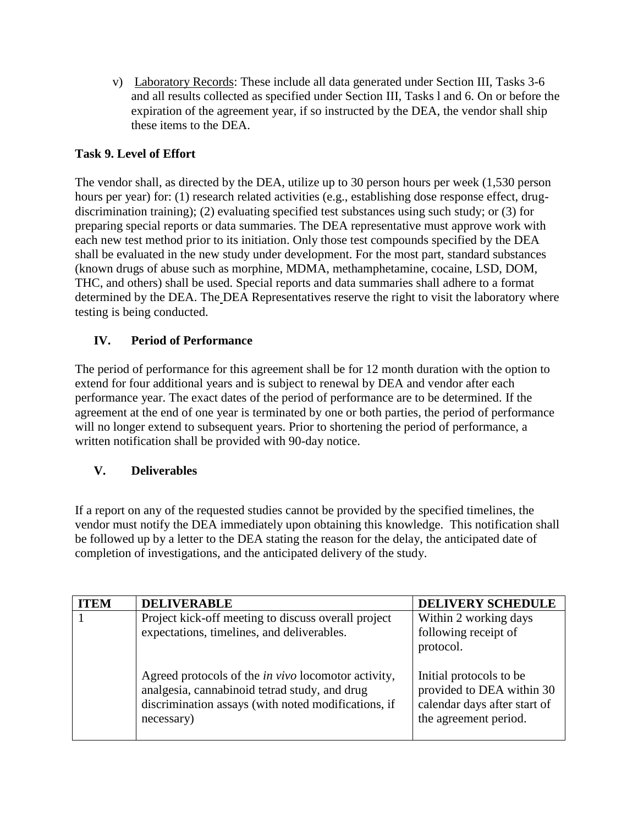v) Laboratory Records: These include all data generated under Section III, Tasks 3-6 and all results collected as specified under Section III, Tasks l and 6. On or before the expiration of the agreement year, if so instructed by the DEA, the vendor shall ship these items to the DEA.

# **Task 9. Level of Effort**

The vendor shall, as directed by the DEA, utilize up to 30 person hours per week (1,530 person hours per year) for: (1) research related activities (e.g., establishing dose response effect, drugdiscrimination training); (2) evaluating specified test substances using such study; or (3) for preparing special reports or data summaries. The DEA representative must approve work with each new test method prior to its initiation. Only those test compounds specified by the DEA shall be evaluated in the new study under development. For the most part, standard substances (known drugs of abuse such as morphine, MDMA, methamphetamine, cocaine, LSD, DOM, THC, and others) shall be used. Special reports and data summaries shall adhere to a format determined by the DEA. The DEA Representatives reserve the right to visit the laboratory where testing is being conducted.

# **IV. Period of Performance**

The period of performance for this agreement shall be for 12 month duration with the option to extend for four additional years and is subject to renewal by DEA and vendor after each performance year. The exact dates of the period of performance are to be determined. If the agreement at the end of one year is terminated by one or both parties, the period of performance will no longer extend to subsequent years. Prior to shortening the period of performance, a written notification shall be provided with 90-day notice.

# **V. Deliverables**

If a report on any of the requested studies cannot be provided by the specified timelines, the vendor must notify the DEA immediately upon obtaining this knowledge. This notification shall be followed up by a letter to the DEA stating the reason for the delay, the anticipated date of completion of investigations, and the anticipated delivery of the study.

| <b>ITEM</b> | <b>DELIVERABLE</b>                                                                                                                                                               | <b>DELIVERY SCHEDULE</b>                                                                                       |
|-------------|----------------------------------------------------------------------------------------------------------------------------------------------------------------------------------|----------------------------------------------------------------------------------------------------------------|
|             | Project kick-off meeting to discuss overall project<br>expectations, timelines, and deliverables.                                                                                | Within 2 working days<br>following receipt of<br>protocol.                                                     |
|             | Agreed protocols of the <i>in vivo</i> locomotor activity,<br>analgesia, cannabinoid tetrad study, and drug<br>discrimination assays (with noted modifications, if<br>necessary) | Initial protocols to be.<br>provided to DEA within 30<br>calendar days after start of<br>the agreement period. |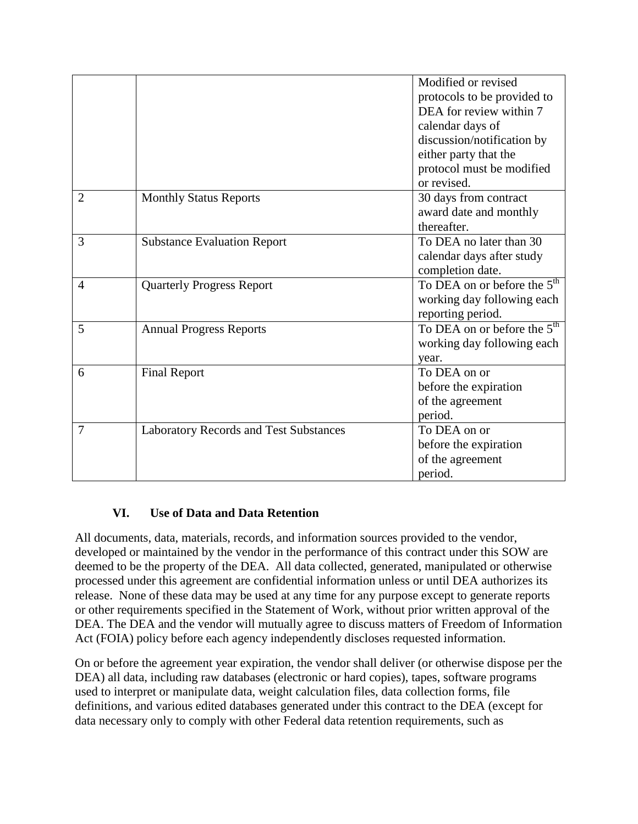|                |                                               | Modified or revised                     |
|----------------|-----------------------------------------------|-----------------------------------------|
|                |                                               | protocols to be provided to             |
|                |                                               | DEA for review within 7                 |
|                |                                               | calendar days of                        |
|                |                                               | discussion/notification by              |
|                |                                               | either party that the                   |
|                |                                               | protocol must be modified               |
|                |                                               | or revised.                             |
| $\overline{2}$ | <b>Monthly Status Reports</b>                 | 30 days from contract                   |
|                |                                               | award date and monthly                  |
|                |                                               | thereafter.                             |
| 3              | <b>Substance Evaluation Report</b>            | To DEA no later than 30                 |
|                |                                               | calendar days after study               |
|                |                                               | completion date.                        |
| 4              | <b>Quarterly Progress Report</b>              | To DEA on or before the 5 <sup>th</sup> |
|                |                                               | working day following each              |
|                |                                               | reporting period.                       |
| 5              | <b>Annual Progress Reports</b>                | To DEA on or before the $5th$           |
|                |                                               | working day following each              |
|                |                                               | year.                                   |
| 6              | <b>Final Report</b>                           | To DEA on or                            |
|                |                                               | before the expiration                   |
|                |                                               | of the agreement                        |
|                |                                               | period.                                 |
| 7              | <b>Laboratory Records and Test Substances</b> | To DEA on or                            |
|                |                                               | before the expiration                   |
|                |                                               | of the agreement                        |
|                |                                               | period.                                 |

# **VI. Use of Data and Data Retention**

All documents, data, materials, records, and information sources provided to the vendor, developed or maintained by the vendor in the performance of this contract under this SOW are deemed to be the property of the DEA. All data collected, generated, manipulated or otherwise processed under this agreement are confidential information unless or until DEA authorizes its release. None of these data may be used at any time for any purpose except to generate reports or other requirements specified in the Statement of Work, without prior written approval of the DEA. The DEA and the vendor will mutually agree to discuss matters of Freedom of Information Act (FOIA) policy before each agency independently discloses requested information.

On or before the agreement year expiration, the vendor shall deliver (or otherwise dispose per the DEA) all data, including raw databases (electronic or hard copies), tapes, software programs used to interpret or manipulate data, weight calculation files, data collection forms, file definitions, and various edited databases generated under this contract to the DEA (except for data necessary only to comply with other Federal data retention requirements, such as